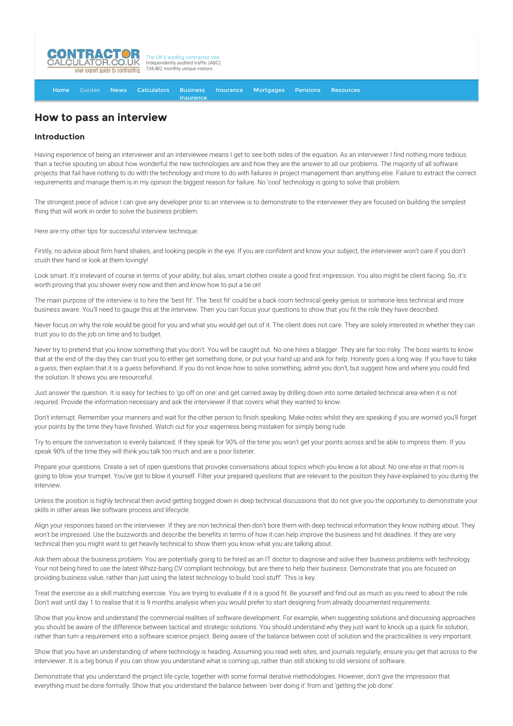

[Home](http://www.contractorcalculator.co.uk/) [Guides](http://www.contractorcalculator.co.uk/Articles.aspx) [News](http://www.contractorcalculator.co.uk/Contractor_News.aspx) [Calculators](http://www.contractorcalculator.co.uk/Calculators.aspx) Business **[Insurance](http://www.contractorcalculator.co.uk/Contractor_Insurances.aspx)** [Insurance](http://www.contractorcalculator.co.uk/Insurance.aspx) [Mortgages](http://www.contractorcalculator.co.uk/Contractor_Mortgages.aspx) [Pensions](http://www.contractorcalculator.co.uk/Contractor_Pensions.aspx) [Resources](http://www.contractorcalculator.co.uk/Contractor_Resources.aspx)

## **How to pass an interview**

## **Introduction**

Having experience of being an interviewer and an interviewee means I get to see both sides of the equation. As an interviewer I find nothing more tedious than a techie spouting on about how wonderful the new technologies are and how they are the answer to all our problems. The majority of all software projects that fail have nothing to do with the technology and more to do with failures in project management than anything else. Failure to extract the correct requirements and manage them is in my opinion the biggest reason for failure. No 'cool' technology is going to solve that problem.

The strongest piece of advice I can give any developer prior to an interview is to demonstrate to the interviewer they are focused on building the simplest thing that will work in order to solve the business problem.

Here are my other tips for successful interview technique:

Firstly, no advice about firm hand shakes, and looking people in the eye. If you are confident and know your subject, the interviewer won't care if you don't crush their hand or look at them lovingly!

Look smart. It's irrelevant of course in terms of your ability, but alas, smart clothes create a good first impression. You also might be client facing. So, it's worth proving that you shower every now and then and know how to put a tie on!

The main purpose of the interview is to hire the 'best fit'. The 'best fit' could be a back room technical geeky genius or someone less technical and more business aware. You'll need to gauge this at the interview. Then you can focus your questions to show that you fit the role they have described.

Never focus on why the role would be good for you and what you would get out of it. The client does not care. They are solely interested in whether they can trust you to do the job on time and to budget.

Never try to pretend that you know something that you don't. You will be caught out. No one hires a blagger. They are far too risky. The boss wants to know that at the end of the day they can trust you to either get something done, or put your hand up and ask for help. Honesty goes a long way. If you have to take a guess, then explain that it is a guess beforehand. If you do not know how to solve something, admit you don't, but suggest how and where you could find the solution. It shows you are resourceful.

Just answer the question. It is easy for techies to 'go off on one' and get carried away by drilling down into some detailed technical area when it is not required. Provide the information necessary and ask the interviewer if that covers what they wanted to know.

Don't interrupt. Remember your manners and wait for the other person to finish speaking. Make notes whilst they are speaking if you are worried you'll forget your points by the time they have finished. Watch out for your eagerness being mistaken for simply being rude.

Try to ensure the conversation is evenly balanced. If they speak for 90% of the time you won't get your points across and be able to impress them. If you speak 90% of the time they will think you talk too much and are a poor listener.

Prepare your questions. Create a set of open questions that provoke conversations about topics which you know a lot about. No one else in that room is going to blow your trumpet. You've got to blow it yourself. Filter your prepared questions that are relevant to the position they have explained to you during the interview.

Unless the position is highly technical then avoid getting bogged down in deep technical discussions that do not give you the opportunity to demonstrate your skills in other areas like software process and lifecycle.

Align your responses based on the interviewer. If they are non technical then don't bore them with deep technical information they know nothing about. They won't be impressed. Use the buzzwords and describe the benefits in terms of how it can help improve the business and hit deadlines. If they are very technical then you might want to get heavily technical to show them you know what you are talking about.

Ask them about the business problem. You are potentially going to be hired as an IT doctor to diagnose and solve their business problems with technology. Your not being hired to use the latest Whizz-bang CV compliant technology, but are there to help their business. Demonstrate that you are focused on providing business value, rather than just using the latest technology to build 'cool stuff'. This is key.

Treat the exercise as a skill matching exercise. You are trying to evaluate if it is a good fit. Be yourself and find out as much as you need to about the role. Don't wait until day 1 to realise that it is 9 months analysis when you would prefer to start designing from already documented requirements.

Show that you know and understand the commercial realities of software development. For example, when suggesting solutions and discussing approaches you should be aware of the difference between tactical and strategic solutions. You should understand why they just want to knock up a quick fix solution, rather than turn a requirement into a software science project. Being aware of the balance between cost of solution and the practicalities is very important.

Show that you have an understanding of where technology is heading. Assuming you read web sites, and journals regularly, ensure you get that across to the interviewer. It is a big bonus if you can show you understand what is coming up, rather than still sticking to old versions of software.

Demonstrate that you understand the project life cycle, together with some formal iterative methodologies. However, don't give the impression that everything must be done formally. Show that you understand the balance between 'over doing it' from and 'getting the job done'.